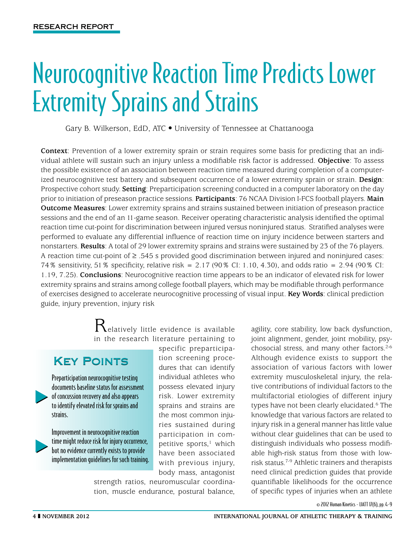# Neurocognitive Reaction Time Predicts Lower Extremity Sprains and Strains

Gary B. Wilkerson, EdD, ATC . University of Tennessee at Chattanooga

**Context**: Prevention of a lower extremity sprain or strain requires some basis for predicting that an individual athlete will sustain such an injury unless a modifiable risk factor is addressed. **Objective**: To assess the possible existence of an association between reaction time measured during completion of a computerized neurocognitive test battery and subsequent occurrence of a lower extremity sprain or strain. **Design**: Prospective cohort study. **Setting**: Preparticipation screening conducted in a computer laboratory on the day prior to initiation of preseason practice sessions. **Participants**: 76 NCAA Division I-FCS football players. **Main Outcome Measures**: Lower extremity sprains and strains sustained between initiation of preseason practice sessions and the end of an 11-game season. Receiver operating characteristic analysis identified the optimal reaction time cut-point for discrimination between injured versus noninjured status. Stratified analyses were performed to evaluate any differential influence of reaction time on injury incidence between starters and nonstarters. **Results**: A total of 29 lower extremity sprains and strains were sustained by 23 of the 76 players. A reaction time cut-point of  $\geq$  .545 s provided good discrimination between injured and noninjured cases: 74% sensitivity, 51% specificity, relative risk = 2.17 (90% CI: 1.10, 4.30), and odds ratio = 2.94 (90% CI: 1.19, 7.25). **Conclusions**: Neurocognitive reaction time appears to be an indicator of elevated risk for lower extremity sprains and strains among college football players, which may be modifiable through performance of exercises designed to accelerate neurocognitive processing of visual input. **Key Words**: clinical prediction guide, injury prevention, injury risk

> $\mathcal{R}_{\text{elatively little evidence is available}}$ in the research literature pertaining to

## Key Points

Preparticipation neurocognitive testing documents baseline status for assessment of concussion recovery and also appears to identify elevated risk for sprains and strains.

Improvement in neurocognitive reaction time might reduce risk for injury occurrence, but no evidence currently exists to provide implementation guidelines for such training. specific preparticipation screening procedures that can identify individual athletes who possess elevated injury risk. Lower extremity sprains and strains are the most common injuries sustained during participation in competitive sports, $<sup>1</sup>$  which</sup> have been associated with previous injury, body mass, antagonist

strength ratios, neuromuscular coordination, muscle endurance, postural balance,

agility, core stability, low back dysfunction, joint alignment, gender, joint mobility, psychosocial stress, and many other factors.2-6 Although evidence exists to support the association of various factors with lower extremity musculoskeletal injury, the relative contributions of individual factors to the multifactorial etiologies of different injury types have not been clearly elucidated.6 The knowledge that various factors are related to injury risk in a general manner has little value without clear guidelines that can be used to distinguish individuals who possess modifiable high-risk status from those with lowrisk status.7-9 Athletic trainers and therapists need clinical prediction guides that provide quantifiable likelihoods for the occurrence of specific types of injuries when an athlete

© 2012 Human Kinetics - IJATT 17(6), pp. 4-9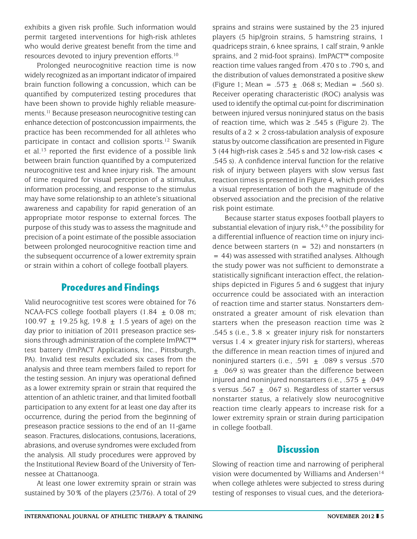exhibits a given risk profile. Such information would permit targeted interventions for high-risk athletes who would derive greatest benefit from the time and resources devoted to injury prevention efforts.10

Prolonged neurocognitive reaction time is now widely recognized as an important indicator of impaired brain function following a concussion, which can be quantified by computerized testing procedures that have been shown to provide highly reliable measurements.11 Because preseason neurocognitive testing can enhance detection of postconcussion impairments, the practice has been recommended for all athletes who participate in contact and collision sports.12 Swanik et al.13 reported the first evidence of a possible link between brain function quantified by a computerized neurocognitive test and knee injury risk. The amount of time required for visual perception of a stimulus, information processing, and response to the stimulus may have some relationship to an athlete's situational awareness and capability for rapid generation of an appropriate motor response to external forces. The purpose of this study was to assess the magnitude and precision of a point estimate of the possible association between prolonged neurocognitive reaction time and the subsequent occurrence of a lower extremity sprain or strain within a cohort of college football players.

### Procedures and Findings

Valid neurocognitive test scores were obtained for 76 NCAA-FCS college football players  $(1.84 \pm 0.08 \text{ m})$ ; 100.97  $\pm$  19.25 kg, 19.8  $\pm$  1.5 years of age) on the day prior to initiation of 2011 preseason practice sessions through administration of the complete ImPACT™ test battery (ImPACT Applications, Inc., Pittsburgh, PA). Invalid test results excluded six cases from the analysis and three team members failed to report for the testing session. An injury was operational defined as a lower extremity sprain or strain that required the attention of an athletic trainer, and that limited football participation to any extent for at least one day after its occurrence, during the period from the beginning of preseason practice sessions to the end of an 11-game season. Fractures, dislocations, contusions, lacerations, abrasions, and overuse syndromes were excluded from the analysis. All study procedures were approved by the Institutional Review Board of the University of Tennessee at Chattanooga.

At least one lower extremity sprain or strain was sustained by 30% of the players (23/76). A total of 29 sprains and strains were sustained by the 23 injured players (5 hip/groin strains, 5 hamstring strains, 1 quadriceps strain, 6 knee sprains, 1 calf strain, 9 ankle sprains, and 2 mid-foot sprains). ImPACT™ composite reaction time values ranged from .470 s to .790 s, and the distribution of values demonstrated a positive skew (Figure 1; Mean = .573  $\pm$  .068 s; Median = .560 s). Receiver operating characteristic (ROC) analysis was used to identify the optimal cut-point for discrimination between injured versus noninjured status on the basis of reaction time, which was  $\ge$  .545 s (Figure 2). The results of a  $2 \times 2$  cross-tabulation analysis of exposure status by outcome classification are presented in Figure 3 (44 high-risk cases  $\ge$  .545 s and 32 low-risk cases  $\lt$ .545 s). A confidence interval function for the relative risk of injury between players with slow versus fast reaction times is presented in Figure 4, which provides a visual representation of both the magnitude of the observed association and the precision of the relative risk point estimate.

Because starter status exposes football players to substantial elevation of injury risk,  $4,9$  the possibility for a differential influence of reaction time on injury incidence between starters ( $n = 32$ ) and nonstarters ( $n = 1$ = 44) was assessed with stratified analyses. Although the study power was not sufficient to demonstrate a statistically significant interaction effect, the relationships depicted in Figures 5 and 6 suggest that injury occurrence could be associated with an interaction of reaction time and starter status. Nonstarters demonstrated a greater amount of risk elevation than starters when the preseason reaction time was  $\geq$ .545 s (i.e.,  $3.8 \times$  greater injury risk for nonstarters versus 1.4  $\times$  greater injury risk for starters), whereas the difference in mean reaction times of injured and noninjured starters (i.e., .591  $\pm$  .089 s versus .570  $\pm$  .069 s) was greater than the difference between injured and noninjured nonstarters (i.e., .575  $\pm$  .049 s versus .567  $\pm$  .067 s). Regardless of starter versus nonstarter status, a relatively slow neurocognitive reaction time clearly appears to increase risk for a lower extremity sprain or strain during participation in college football.

#### **Discussion**

Slowing of reaction time and narrowing of peripheral vision were documented by Williams and Andersen<sup>14</sup> when college athletes were subjected to stress during testing of responses to visual cues, and the deteriora-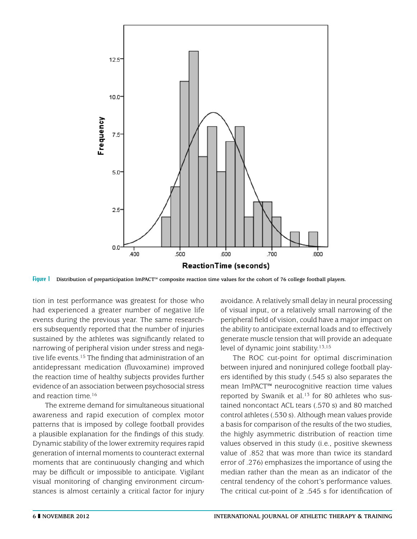

Figure 1 **Distribution of preparticipation ImPACT™ composite reaction time values for the cohort of 76 college football players.**

tion in test performance was greatest for those who had experienced a greater number of negative life events during the previous year. The same researchers subsequently reported that the number of injuries sustained by the athletes was significantly related to narrowing of peripheral vision under stress and negative life events.15 The finding that administration of an antidepressant medication (fluvoxamine) improved the reaction time of healthy subjects provides further evidence of an association between psychosocial stress and reaction time.16

The extreme demand for simultaneous situational awareness and rapid execution of complex motor patterns that is imposed by college football provides a plausible explanation for the findings of this study. Dynamic stability of the lower extremity requires rapid generation of internal moments to counteract external moments that are continuously changing and which may be difficult or impossible to anticipate. Vigilant visual monitoring of changing environment circumstances is almost certainly a critical factor for injury

avoidance. A relatively small delay in neural processing of visual input, or a relatively small narrowing of the peripheral field of vision, could have a major impact on the ability to anticipate external loads and to effectively generate muscle tension that will provide an adequate level of dynamic joint stability.<sup>13,15</sup>

The ROC cut-point for optimal discrimination between injured and noninjured college football players identified by this study (.545 s) also separates the mean ImPACT™ neurocognitive reaction time values reported by Swanik et al.<sup>13</sup> for 80 athletes who sustained noncontact ACL tears (.570 s) and 80 matched control athletes (.530 s). Although mean values provide a basis for comparison of the results of the two studies, the highly asymmetric distribution of reaction time values observed in this study (i.e., positive skewness value of .852 that was more than twice its standard error of .276) emphasizes the importance of using the median rather than the mean as an indicator of the central tendency of the cohort's performance values. The critical cut-point of  $\geq$  .545 s for identification of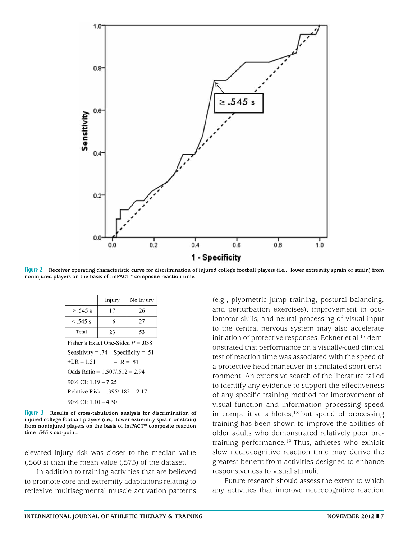

Figure 2 **Receiver operating characteristic curve for discrimination of injured college football players (i.e., lower extremity sprain or strain) from noninjured players on the basis of ImPACT™ composite reaction time.**

|                                     | Injury | No Injury |
|-------------------------------------|--------|-----------|
| $\geq$ .545 s                       | 17     | 26        |
| $< .545$ s                          | 6      | 27        |
| Total                               | 23     | 53        |
| Fisher's Exact One-Sided $P = .038$ |        |           |
| Sensitivity = .74 Specificity = .51 |        |           |

 $+LR = 1.51$  $-LR = .51$ Odds Ratio =  $1.507/0.512 = 2.94$ 90% CI: 1.19 - 7.25 Relative Risk = .395/.182 = 2.17  $90\%$  CI:  $1.10 - 4.30$ 

Figure 3 **Results of cross-tabulation analysis for discrimination of injured college football players (i.e., lower extremity sprain or strain) from noninjured players on the basis of ImPACT™ composite reaction time .545 s cut-point.**

elevated injury risk was closer to the median value (.560 s) than the mean value (.573) of the dataset.

In addition to training activities that are believed to promote core and extremity adaptations relating to reflexive multisegmental muscle activation patterns (e.g., plyometric jump training, postural balancing, and perturbation exercises), improvement in oculomotor skills, and neural processing of visual input to the central nervous system may also accelerate initiation of protective responses. Eckner et al.<sup>17</sup> demonstrated that performance on a visually-cued clinical test of reaction time was associated with the speed of a protective head maneuver in simulated sport environment. An extensive search of the literature failed to identify any evidence to support the effectiveness of any specific training method for improvement of visual function and information processing speed in competitive athletes, $18$  but speed of processing training has been shown to improve the abilities of older adults who demonstrated relatively poor pretraining performance.19 Thus, athletes who exhibit slow neurocognitive reaction time may derive the greatest benefit from activities designed to enhance responsiveness to visual stimuli.

Future research should assess the extent to which any activities that improve neurocognitive reaction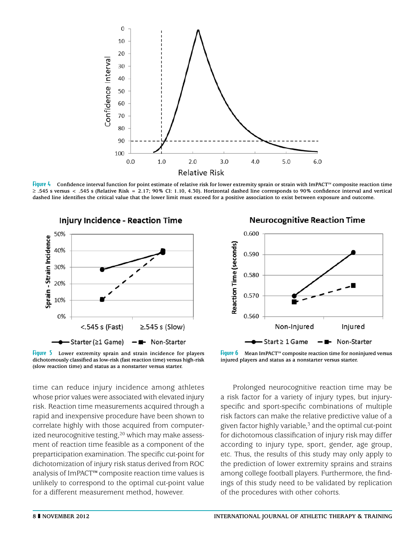

Figure 4 **Confidence interval function for point estimate of relative risk for lower extremity sprain or strain with ImPACT™ composite reaction time**   $\geq$  .545 s versus < .545 s (Relative Risk = 2.17; 90% CI: 1.10, 4.30). Horizontal dashed line corresponds to 90% confidence interval and vertical **dashed line identifies the critical value that the lower limit must exceed for a positive association to exist between exposure and outcome.**



Figure 5 **Lower extremity sprain and strain incidence for players dichotomously classified as low-risk (fast reaction time) versus high-risk (slow reaction time) and status as a nonstarter versus starter.**

time can reduce injury incidence among athletes whose prior values were associated with elevated injury risk. Reaction time measurements acquired through a rapid and inexpensive procedure have been shown to correlate highly with those acquired from computerized neurocognitive testing,<sup>20</sup> which may make assessment of reaction time feasible as a component of the preparticipation examination. The specific cut-point for dichotomization of injury risk status derived from ROC analysis of ImPACT™ composite reaction time values is unlikely to correspond to the optimal cut-point value for a different measurement method, however.





Figure 6 **Mean ImPACT™ composite reaction time for noninjured versus injured players and status as a nonstarter versus starter.**

Prolonged neurocognitive reaction time may be a risk factor for a variety of injury types, but injuryspecific and sport-specific combinations of multiple risk factors can make the relative predictive value of a given factor highly variable, $3$  and the optimal cut-point for dichotomous classification of injury risk may differ according to injury type, sport, gender, age group, etc. Thus, the results of this study may only apply to the prediction of lower extremity sprains and strains among college football players. Furthermore, the findings of this study need to be validated by replication of the procedures with other cohorts.